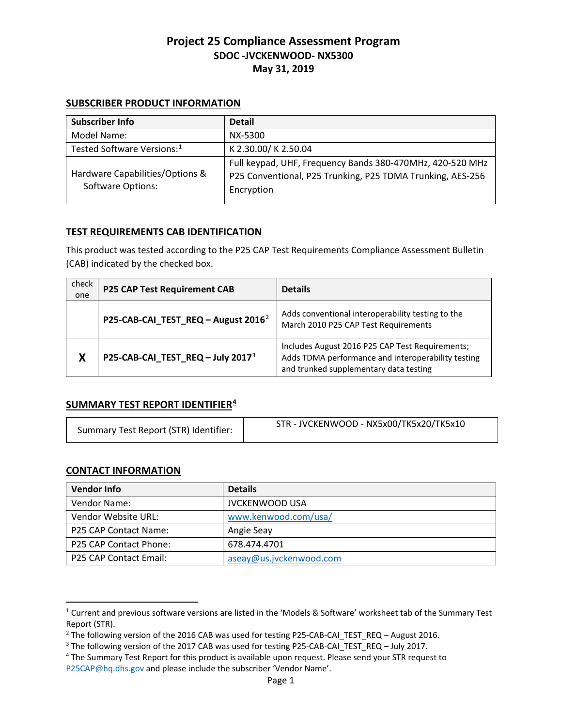#### **SUBSCRIBER PRODUCT INFORMATION**

| <b>Subscriber Info</b>                                      | <b>Detail</b>                                                                                                                         |
|-------------------------------------------------------------|---------------------------------------------------------------------------------------------------------------------------------------|
| Model Name:                                                 | NX-5300                                                                                                                               |
| Tested Software Versions: <sup>1</sup>                      | K 2.30.00/ K 2.50.04                                                                                                                  |
| Hardware Capabilities/Options &<br><b>Software Options:</b> | Full keypad, UHF, Frequency Bands 380-470MHz, 420-520 MHz<br>P25 Conventional, P25 Trunking, P25 TDMA Trunking, AES-256<br>Encryption |

### **TEST REQUIREMENTS CAB IDENTIFICATION**

This product was tested according to the P25 CAP Test Requirements Compliance Assessment Bulletin (CAB) indicated by the checked box.

| check<br>one | <b>P25 CAP Test Requirement CAB</b>             | <b>Details</b>                                                                                                                                  |
|--------------|-------------------------------------------------|-------------------------------------------------------------------------------------------------------------------------------------------------|
|              | P25-CAB-CAI_TEST_REQ - August 2016 <sup>2</sup> | Adds conventional interoperability testing to the<br>March 2010 P25 CAP Test Requirements                                                       |
| X            | P25-CAB-CAI_TEST_REQ - July 2017 <sup>3</sup>   | Includes August 2016 P25 CAP Test Requirements;<br>Adds TDMA performance and interoperability testing<br>and trunked supplementary data testing |

### **SUMMARY TEST REPORT IDENTIFIER[4](#page-0-3)**

| Summary Test Report (STR) Identifier: | STR - JVCKENWOOD - NX5x00/TK5x20/TK5x10 |
|---------------------------------------|-----------------------------------------|
|---------------------------------------|-----------------------------------------|

### **CONTACT INFORMATION**

 $\overline{a}$ 

| <b>Vendor Info</b>           | <b>Details</b>          |
|------------------------------|-------------------------|
| Vendor Name:                 | <b>JVCKENWOOD USA</b>   |
| Vendor Website URL:          | www.kenwood.com/usa/    |
| <b>P25 CAP Contact Name:</b> | Angie Seay              |
| P25 CAP Contact Phone:       | 678.474.4701            |
| P25 CAP Contact Email:       | aseay@us.jvckenwood.com |

<span id="page-0-0"></span><sup>1</sup> Current and previous software versions are listed in the 'Models & Software' worksheet tab of the Summary Test Report (STR).

<span id="page-0-1"></span><sup>&</sup>lt;sup>2</sup> The following version of the 2016 CAB was used for testing P25-CAB-CAI\_TEST\_REQ – August 2016.

<span id="page-0-2"></span><sup>&</sup>lt;sup>3</sup> The following version of the 2017 CAB was used for testing P25-CAB-CAI\_TEST\_REQ – July 2017.<br><sup>4</sup> The Summary Test Report for this product is available upon request. Please send your STR request to

<span id="page-0-3"></span>[P25CAP@hq.dhs.gov](mailto:P25CAP@hq.dhs.gov) and please include the subscriber 'Vendor Name'.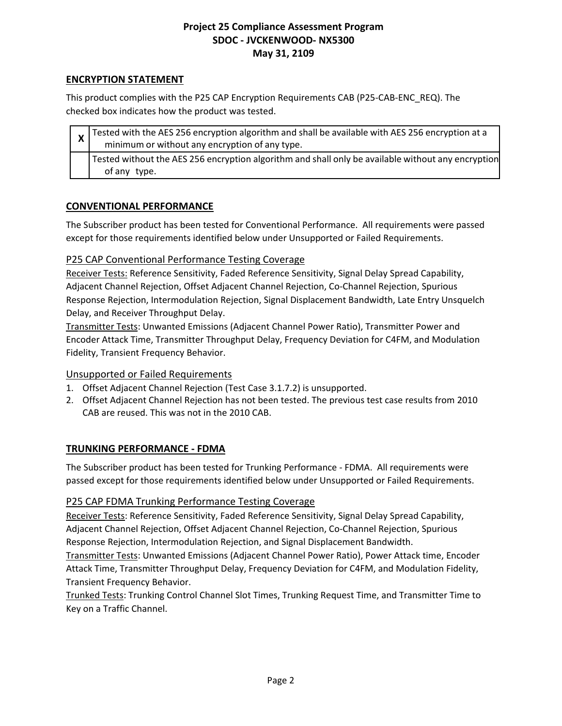## **ENCRYPTION STATEMENT**

This product complies with the P25 CAP Encryption Requirements CAB (P25-CAB-ENC\_REQ). The checked box indicates how the product was tested.

| $\frac{1}{x}$ Tested with the AES 256 encryption algorithm and shall be available with AES 256 encryption at a<br>minimum or without any encryption of any type. |
|------------------------------------------------------------------------------------------------------------------------------------------------------------------|
| Tested without the AES 256 encryption algorithm and shall only be available without any encryption<br>of any type.                                               |

## **CONVENTIONAL PERFORMANCE**

The Subscriber product has been tested for Conventional Performance. All requirements were passed except for those requirements identified below under Unsupported or Failed Requirements.

## P25 CAP Conventional Performance Testing Coverage

Receiver Tests: Reference Sensitivity, Faded Reference Sensitivity, Signal Delay Spread Capability, Adjacent Channel Rejection, Offset Adjacent Channel Rejection, Co-Channel Rejection, Spurious Response Rejection, Intermodulation Rejection, Signal Displacement Bandwidth, Late Entry Unsquelch Delay, and Receiver Throughput Delay.

Transmitter Tests: Unwanted Emissions (Adjacent Channel Power Ratio), Transmitter Power and Encoder Attack Time, Transmitter Throughput Delay, Frequency Deviation for C4FM, and Modulation Fidelity, Transient Frequency Behavior.

### Unsupported or Failed Requirements

- 1. Offset Adjacent Channel Rejection (Test Case 3.1.7.2) is unsupported.
- 2. Offset Adjacent Channel Rejection has not been tested. The previous test case results from 2010 CAB are reused. This was not in the 2010 CAB.

# **TRUNKING PERFORMANCE - FDMA**

The Subscriber product has been tested for Trunking Performance - FDMA. All requirements were passed except for those requirements identified below under Unsupported or Failed Requirements.

### P25 CAP FDMA Trunking Performance Testing Coverage

Receiver Tests: Reference Sensitivity, Faded Reference Sensitivity, Signal Delay Spread Capability, Adjacent Channel Rejection, Offset Adjacent Channel Rejection, Co-Channel Rejection, Spurious Response Rejection, Intermodulation Rejection, and Signal Displacement Bandwidth.

Transmitter Tests: Unwanted Emissions (Adjacent Channel Power Ratio), Power Attack time, Encoder Attack Time, Transmitter Throughput Delay, Frequency Deviation for C4FM, and Modulation Fidelity, Transient Frequency Behavior.

Trunked Tests: Trunking Control Channel Slot Times, Trunking Request Time, and Transmitter Time to Key on a Traffic Channel.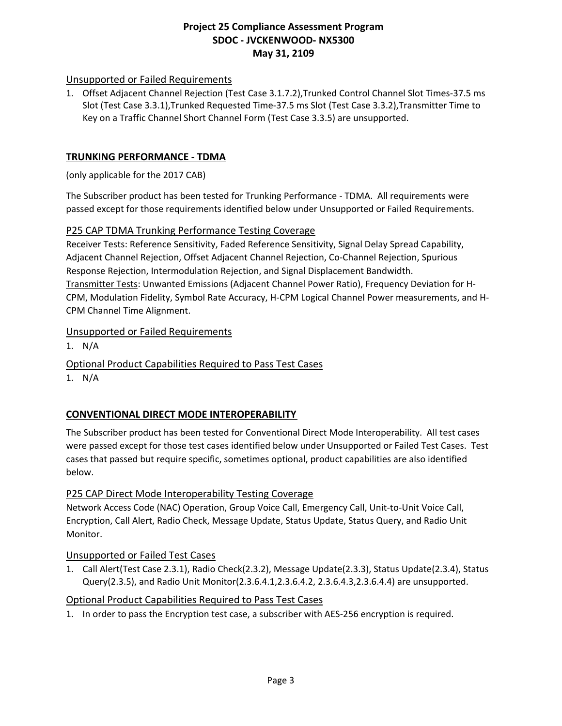## Unsupported or Failed Requirements

1. Offset Adjacent Channel Rejection (Test Case 3.1.7.2),Trunked Control Channel Slot Times-37.5 ms Slot (Test Case 3.3.1),Trunked Requested Time-37.5 ms Slot (Test Case 3.3.2),Transmitter Time to Key on a Traffic Channel Short Channel Form (Test Case 3.3.5) are unsupported.

#### **TRUNKING PERFORMANCE - TDMA**

(only applicable for the 2017 CAB)

The Subscriber product has been tested for Trunking Performance - TDMA. All requirements were passed except for those requirements identified below under Unsupported or Failed Requirements.

#### P25 CAP TDMA Trunking Performance Testing Coverage

Receiver Tests: Reference Sensitivity, Faded Reference Sensitivity, Signal Delay Spread Capability, Adjacent Channel Rejection, Offset Adjacent Channel Rejection, Co-Channel Rejection, Spurious Response Rejection, Intermodulation Rejection, and Signal Displacement Bandwidth. Transmitter Tests: Unwanted Emissions (Adjacent Channel Power Ratio), Frequency Deviation for H-CPM, Modulation Fidelity, Symbol Rate Accuracy, H-CPM Logical Channel Power measurements, and H-CPM Channel Time Alignment.

#### Unsupported or Failed Requirements

1. N/A

#### Optional Product Capabilities Required to Pass Test Cases

1. N/A

### **CONVENTIONAL DIRECT MODE INTEROPERABILITY**

The Subscriber product has been tested for Conventional Direct Mode Interoperability. All test cases were passed except for those test cases identified below under Unsupported or Failed Test Cases. Test cases that passed but require specific, sometimes optional, product capabilities are also identified below.

### P25 CAP Direct Mode Interoperability Testing Coverage

Network Access Code (NAC) Operation, Group Voice Call, Emergency Call, Unit-to-Unit Voice Call, Encryption, Call Alert, Radio Check, Message Update, Status Update, Status Query, and Radio Unit Monitor.

#### Unsupported or Failed Test Cases

1. Call Alert(Test Case 2.3.1), Radio Check(2.3.2), Message Update(2.3.3), Status Update(2.3.4), Status Query(2.3.5), and Radio Unit Monitor(2.3.6.4.1,2.3.6.4.2, 2.3.6.4.3,2.3.6.4.4) are unsupported.

#### Optional Product Capabilities Required to Pass Test Cases

1. In order to pass the Encryption test case, a subscriber with AES-256 encryption is required.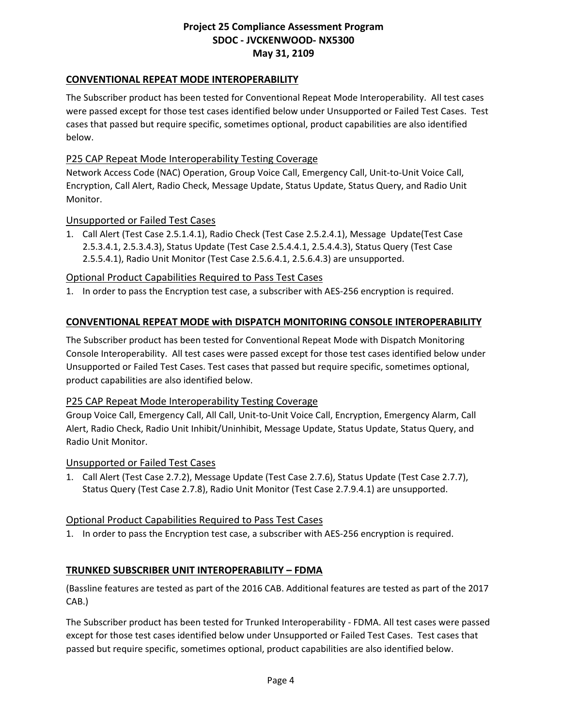## **CONVENTIONAL REPEAT MODE INTEROPERABILITY**

The Subscriber product has been tested for Conventional Repeat Mode Interoperability. All test cases were passed except for those test cases identified below under Unsupported or Failed Test Cases. Test cases that passed but require specific, sometimes optional, product capabilities are also identified below.

### P25 CAP Repeat Mode Interoperability Testing Coverage

Network Access Code (NAC) Operation, Group Voice Call, Emergency Call, Unit-to-Unit Voice Call, Encryption, Call Alert, Radio Check, Message Update, Status Update, Status Query, and Radio Unit Monitor.

#### Unsupported or Failed Test Cases

1. Call Alert (Test Case 2.5.1.4.1), Radio Check (Test Case 2.5.2.4.1), Message Update(Test Case 2.5.3.4.1, 2.5.3.4.3), Status Update (Test Case 2.5.4.4.1, 2.5.4.4.3), Status Query (Test Case 2.5.5.4.1), Radio Unit Monitor (Test Case 2.5.6.4.1, 2.5.6.4.3) are unsupported.

#### Optional Product Capabilities Required to Pass Test Cases

1. In order to pass the Encryption test case, a subscriber with AES-256 encryption is required.

### **CONVENTIONAL REPEAT MODE with DISPATCH MONITORING CONSOLE INTEROPERABILITY**

The Subscriber product has been tested for Conventional Repeat Mode with Dispatch Monitoring Console Interoperability. All test cases were passed except for those test cases identified below under Unsupported or Failed Test Cases. Test cases that passed but require specific, sometimes optional, product capabilities are also identified below.

#### P25 CAP Repeat Mode Interoperability Testing Coverage

Group Voice Call, Emergency Call, All Call, Unit-to-Unit Voice Call, Encryption, Emergency Alarm, Call Alert, Radio Check, Radio Unit Inhibit/Uninhibit, Message Update, Status Update, Status Query, and Radio Unit Monitor.

#### Unsupported or Failed Test Cases

1. Call Alert (Test Case 2.7.2), Message Update (Test Case 2.7.6), Status Update (Test Case 2.7.7), Status Query (Test Case 2.7.8), Radio Unit Monitor (Test Case 2.7.9.4.1) are unsupported.

### Optional Product Capabilities Required to Pass Test Cases

1. In order to pass the Encryption test case, a subscriber with AES-256 encryption is required.

### **TRUNKED SUBSCRIBER UNIT INTEROPERABILITY – FDMA**

(Bassline features are tested as part of the 2016 CAB. Additional features are tested as part of the 2017 CAB.)

The Subscriber product has been tested for Trunked Interoperability - FDMA. All test cases were passed except for those test cases identified below under Unsupported or Failed Test Cases. Test cases that passed but require specific, sometimes optional, product capabilities are also identified below.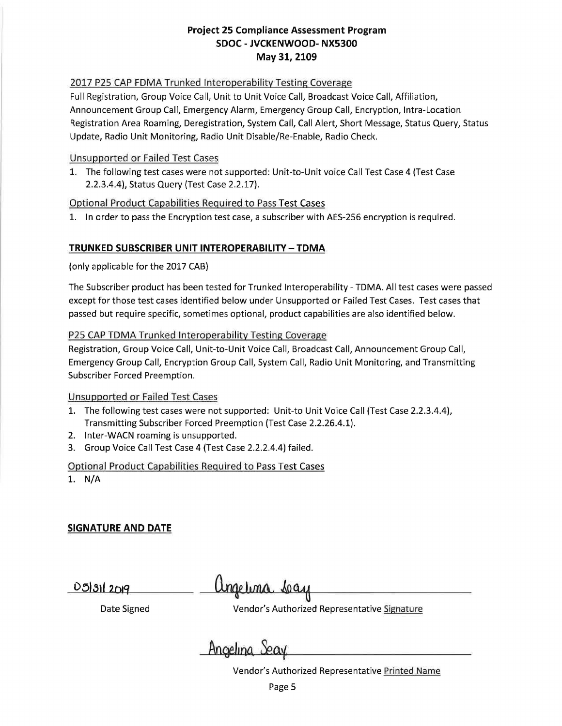#### 2017 P25 CAP FDMA Trunked Interoperability Testing Coverage

Full Registration, Group Voice Call, Unit to Unit Voice Call, Broadcast Voice Call, Affiliation, Announcement Group Call, Emergency Alarm, Emergency Group Call, Encryption, Intra-Location Registration Area Roaming, Deregistration, System Call, Call Alert, Short Message, Status Query, Status Update, Radio Unit Monitoring, Radio Unit Disable/Re-Enable, Radio Check.

#### Unsupported or Failed Test Cases

1. The following test cases were not supported: Unit-to-Unit voice Call Test Case 4 (Test Case 2.2.3.4.4), Status Query (Test Case 2.2.17).

### Optional Product Capabilities Required to Pass Test Cases

1. In order to pass the Encryption test case, a subscriber with AES-256 encryption is required.

### **TRUNKED SUBSCRIBER UNIT INTEROPERABILITY -TDMA**

(only applicable for the 2017 CAB)

The Subscriber product has been tested for Trunked Interoperability - TOMA. All test cases were passed except for those test cases identified below under Unsupported or Failed Test Cases. Test cases that passed but require specific, sometimes optional, product capabilities are also identified below.

#### P25 CAP TOMA Trunked Interoperability Testing Coverage

Registration, Group Voice Call, Unit-to-Unit Voice Call, Broadcast Call, Announcement Group Call, Emergency Group Call, Encryption Group Call, System Call, Radio Unit Monitoring, and Transmitting Subscriber Forced Preemption.

### Unsupported or Failed Test Cases

- 1. The following test cases were not supported: Unit-to Unit Voice Call (Test Case 2.2.3.4.4), Transmitting Subscriber Forced Preemption (Test Case 2.2.26.4.1).
- 2. lnter-WACN roaming is unsupported.
- 3. Group Voice Call Test Case 4 (Test Case 2.2.2.4.4) failed.

### Optional Product Capabilities Required to Pass Test Cases

1. N/A

# **SIGNATURE AND DATE**

*<u>D513112019</u>* 

Ungetina séay

Date Signed **Vendor's Authorized Representative Signature** 

Angelina Seay

Vendor's Authorized Representative Printed Name